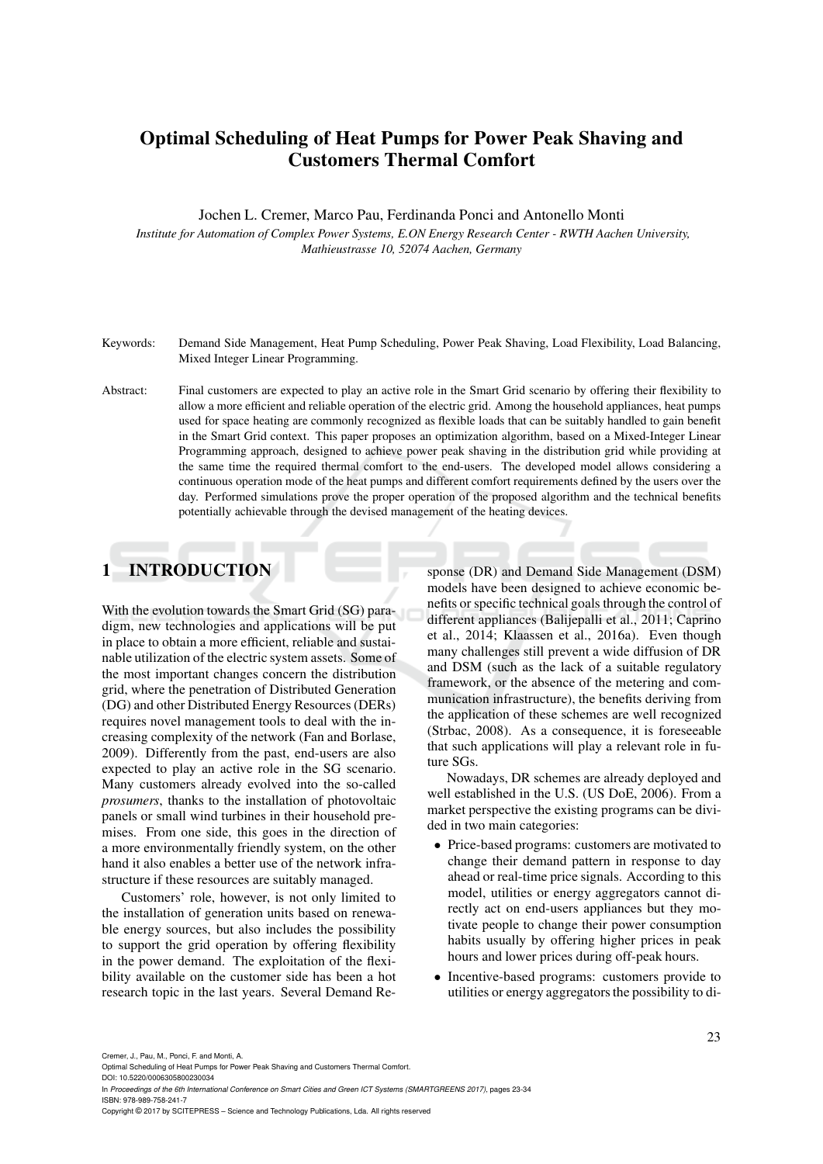# **Optimal Scheduling of Heat Pumps for Power Peak Shaving and Customers Thermal Comfort**

Jochen L. Cremer, Marco Pau, Ferdinanda Ponci and Antonello Monti

*Institute for Automation of Complex Power Systems, E.ON Energy Research Center - RWTH Aachen University, Mathieustrasse 10, 52074 Aachen, Germany*

- Keywords: Demand Side Management, Heat Pump Scheduling, Power Peak Shaving, Load Flexibility, Load Balancing, Mixed Integer Linear Programming.
- Abstract: Final customers are expected to play an active role in the Smart Grid scenario by offering their flexibility to allow a more efficient and reliable operation of the electric grid. Among the household appliances, heat pumps used for space heating are commonly recognized as flexible loads that can be suitably handled to gain benefit in the Smart Grid context. This paper proposes an optimization algorithm, based on a Mixed-Integer Linear Programming approach, designed to achieve power peak shaving in the distribution grid while providing at the same time the required thermal comfort to the end-users. The developed model allows considering a continuous operation mode of the heat pumps and different comfort requirements defined by the users over the day. Performed simulations prove the proper operation of the proposed algorithm and the technical benefits potentially achievable through the devised management of the heating devices.

## **1 INTRODUCTION**

With the evolution towards the Smart Grid (SG) paradigm, new technologies and applications will be put in place to obtain a more efficient, reliable and sustainable utilization of the electric system assets. Some of the most important changes concern the distribution grid, where the penetration of Distributed Generation (DG) and other Distributed Energy Resources (DERs) requires novel management tools to deal with the increasing complexity of the network (Fan and Borlase, 2009). Differently from the past, end-users are also expected to play an active role in the SG scenario. Many customers already evolved into the so-called *prosumers*, thanks to the installation of photovoltaic panels or small wind turbines in their household premises. From one side, this goes in the direction of a more environmentally friendly system, on the other hand it also enables a better use of the network infrastructure if these resources are suitably managed.

Customers' role, however, is not only limited to the installation of generation units based on renewable energy sources, but also includes the possibility to support the grid operation by offering flexibility in the power demand. The exploitation of the flexibility available on the customer side has been a hot research topic in the last years. Several Demand Re-

sponse (DR) and Demand Side Management (DSM) models have been designed to achieve economic benefits or specific technical goals through the control of different appliances (Balijepalli et al., 2011; Caprino et al., 2014; Klaassen et al., 2016a). Even though many challenges still prevent a wide diffusion of DR and DSM (such as the lack of a suitable regulatory framework, or the absence of the metering and communication infrastructure), the benefits deriving from the application of these schemes are well recognized (Strbac, 2008). As a consequence, it is foreseeable that such applications will play a relevant role in future SGs.

Nowadays, DR schemes are already deployed and well established in the U.S. (US DoE, 2006). From a market perspective the existing programs can be divided in two main categories:

- Price-based programs: customers are motivated to change their demand pattern in response to day ahead or real-time price signals. According to this model, utilities or energy aggregators cannot directly act on end-users appliances but they motivate people to change their power consumption habits usually by offering higher prices in peak hours and lower prices during off-peak hours.
- Incentive-based programs: customers provide to utilities or energy aggregators the possibility to di-

Cremer, J., Pau, M., Ponci, F. and Monti, A.

Optimal Scheduling of Heat Pumps for Power Peak Shaving and Customers Thermal Comfort.

DOI: 10.5220/0006305800230034 In *Proceedings of the 6th International Conference on Smart Cities and Green ICT Systems (SMARTGREENS 2017)*, pages 23-34 ISBN: 978-989-758-241-7

Copyright © 2017 by SCITEPRESS – Science and Technology Publications, Lda. All rights reserved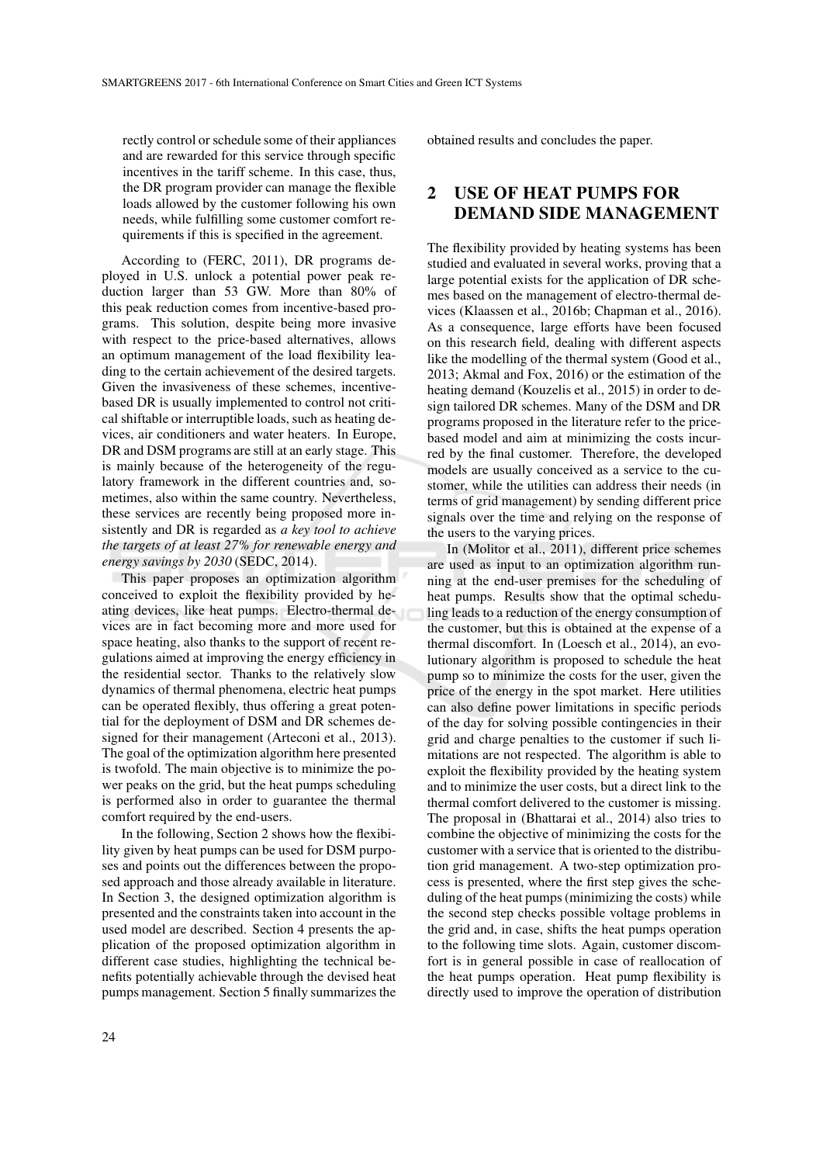rectly control or schedule some of their appliances and are rewarded for this service through specific incentives in the tariff scheme. In this case, thus, the DR program provider can manage the flexible loads allowed by the customer following his own needs, while fulfilling some customer comfort requirements if this is specified in the agreement.

According to (FERC, 2011), DR programs deployed in U.S. unlock a potential power peak reduction larger than 53 GW. More than 80% of this peak reduction comes from incentive-based programs. This solution, despite being more invasive with respect to the price-based alternatives, allows an optimum management of the load flexibility leading to the certain achievement of the desired targets. Given the invasiveness of these schemes, incentivebased DR is usually implemented to control not critical shiftable or interruptible loads, such as heating devices, air conditioners and water heaters. In Europe, DR and DSM programs are still at an early stage. This is mainly because of the heterogeneity of the regulatory framework in the different countries and, sometimes, also within the same country. Nevertheless, these services are recently being proposed more insistently and DR is regarded as *a key tool to achieve the targets of at least 27% for renewable energy and energy savings by 2030* (SEDC, 2014).

This paper proposes an optimization algorithm conceived to exploit the flexibility provided by heating devices, like heat pumps. Electro-thermal devices are in fact becoming more and more used for space heating, also thanks to the support of recent regulations aimed at improving the energy efficiency in the residential sector. Thanks to the relatively slow dynamics of thermal phenomena, electric heat pumps can be operated flexibly, thus offering a great potential for the deployment of DSM and DR schemes designed for their management (Arteconi et al., 2013). The goal of the optimization algorithm here presented is twofold. The main objective is to minimize the power peaks on the grid, but the heat pumps scheduling is performed also in order to guarantee the thermal comfort required by the end-users.

In the following, Section 2 shows how the flexibility given by heat pumps can be used for DSM purposes and points out the differences between the proposed approach and those already available in literature. In Section 3, the designed optimization algorithm is presented and the constraints taken into account in the used model are described. Section 4 presents the application of the proposed optimization algorithm in different case studies, highlighting the technical benefits potentially achievable through the devised heat pumps management. Section 5 finally summarizes the

obtained results and concludes the paper.

# **2 USE OF HEAT PUMPS FOR DEMAND SIDE MANAGEMENT**

The flexibility provided by heating systems has been studied and evaluated in several works, proving that a large potential exists for the application of DR schemes based on the management of electro-thermal devices (Klaassen et al., 2016b; Chapman et al., 2016). As a consequence, large efforts have been focused on this research field, dealing with different aspects like the modelling of the thermal system (Good et al., 2013; Akmal and Fox, 2016) or the estimation of the heating demand (Kouzelis et al., 2015) in order to design tailored DR schemes. Many of the DSM and DR programs proposed in the literature refer to the pricebased model and aim at minimizing the costs incurred by the final customer. Therefore, the developed models are usually conceived as a service to the customer, while the utilities can address their needs (in terms of grid management) by sending different price signals over the time and relying on the response of the users to the varying prices.

In (Molitor et al., 2011), different price schemes are used as input to an optimization algorithm running at the end-user premises for the scheduling of heat pumps. Results show that the optimal scheduling leads to a reduction of the energy consumption of the customer, but this is obtained at the expense of a thermal discomfort. In (Loesch et al., 2014), an evolutionary algorithm is proposed to schedule the heat pump so to minimize the costs for the user, given the price of the energy in the spot market. Here utilities can also define power limitations in specific periods of the day for solving possible contingencies in their grid and charge penalties to the customer if such limitations are not respected. The algorithm is able to exploit the flexibility provided by the heating system and to minimize the user costs, but a direct link to the thermal comfort delivered to the customer is missing. The proposal in (Bhattarai et al., 2014) also tries to combine the objective of minimizing the costs for the customer with a service that is oriented to the distribution grid management. A two-step optimization process is presented, where the first step gives the scheduling of the heat pumps (minimizing the costs) while the second step checks possible voltage problems in the grid and, in case, shifts the heat pumps operation to the following time slots. Again, customer discomfort is in general possible in case of reallocation of the heat pumps operation. Heat pump flexibility is directly used to improve the operation of distribution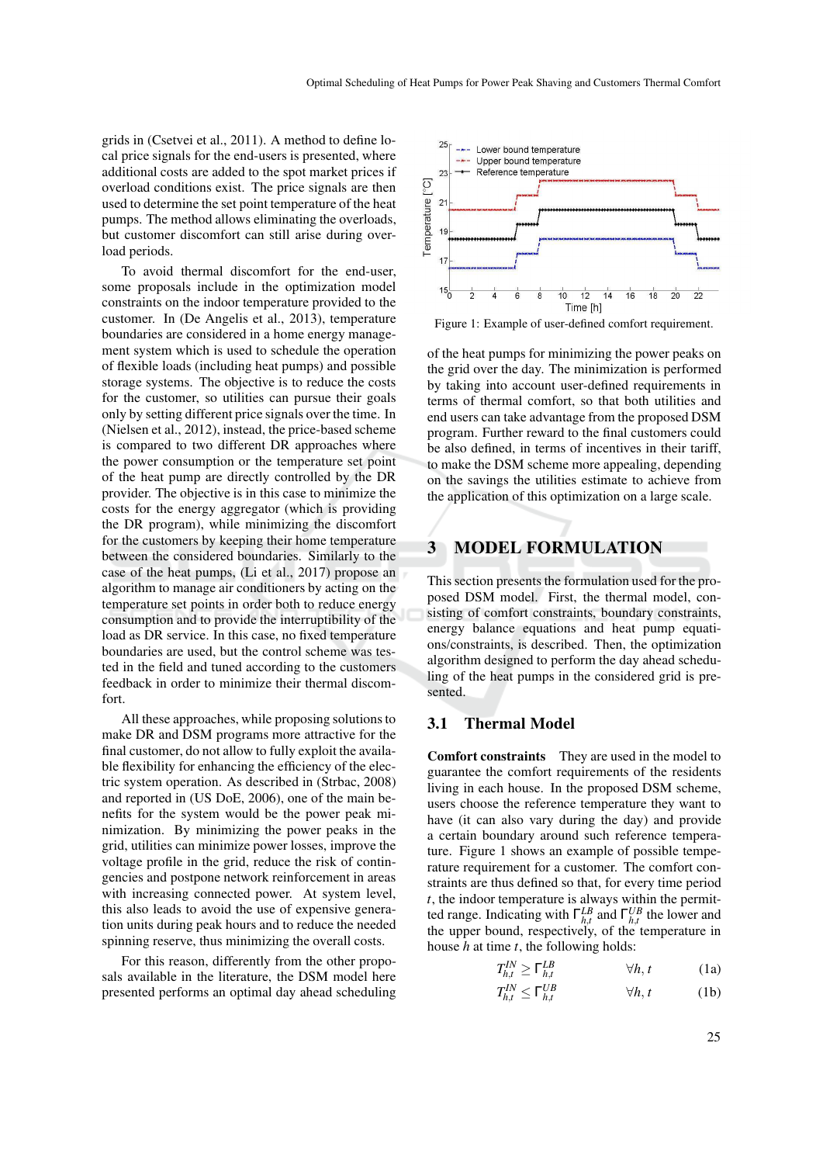grids in (Csetvei et al., 2011). A method to define local price signals for the end-users is presented, where additional costs are added to the spot market prices if overload conditions exist. The price signals are then used to determine the set point temperature of the heat pumps. The method allows eliminating the overloads, but customer discomfort can still arise during overload periods.

To avoid thermal discomfort for the end-user, some proposals include in the optimization model constraints on the indoor temperature provided to the customer. In (De Angelis et al., 2013), temperature boundaries are considered in a home energy management system which is used to schedule the operation of flexible loads (including heat pumps) and possible storage systems. The objective is to reduce the costs for the customer, so utilities can pursue their goals only by setting different price signals over the time. In (Nielsen et al., 2012), instead, the price-based scheme is compared to two different DR approaches where the power consumption or the temperature set point of the heat pump are directly controlled by the DR provider. The objective is in this case to minimize the costs for the energy aggregator (which is providing the DR program), while minimizing the discomfort for the customers by keeping their home temperature between the considered boundaries. Similarly to the case of the heat pumps, (Li et al., 2017) propose an algorithm to manage air conditioners by acting on the temperature set points in order both to reduce energy consumption and to provide the interruptibility of the load as DR service. In this case, no fixed temperature boundaries are used, but the control scheme was tested in the field and tuned according to the customers feedback in order to minimize their thermal discomfort.

All these approaches, while proposing solutions to make DR and DSM programs more attractive for the final customer, do not allow to fully exploit the available flexibility for enhancing the efficiency of the electric system operation. As described in (Strbac, 2008) and reported in (US DoE, 2006), one of the main benefits for the system would be the power peak minimization. By minimizing the power peaks in the grid, utilities can minimize power losses, improve the voltage profile in the grid, reduce the risk of contingencies and postpone network reinforcement in areas with increasing connected power. At system level, this also leads to avoid the use of expensive generation units during peak hours and to reduce the needed spinning reserve, thus minimizing the overall costs.

For this reason, differently from the other proposals available in the literature, the DSM model here presented performs an optimal day ahead scheduling



Figure 1: Example of user-defined comfort requirement.

of the heat pumps for minimizing the power peaks on the grid over the day. The minimization is performed by taking into account user-defined requirements in terms of thermal comfort, so that both utilities and end users can take advantage from the proposed DSM program. Further reward to the final customers could be also defined, in terms of incentives in their tariff, to make the DSM scheme more appealing, depending on the savings the utilities estimate to achieve from the application of this optimization on a large scale.

### **3 MODEL FORMULATION**

This section presents the formulation used for the proposed DSM model. First, the thermal model, consisting of comfort constraints, boundary constraints, energy balance equations and heat pump equations/constraints, is described. Then, the optimization algorithm designed to perform the day ahead scheduling of the heat pumps in the considered grid is presented.

### **3.1 Thermal Model**

**Comfort constraints** They are used in the model to guarantee the comfort requirements of the residents living in each house. In the proposed DSM scheme, users choose the reference temperature they want to have (it can also vary during the day) and provide a certain boundary around such reference temperature. Figure 1 shows an example of possible temperature requirement for a customer. The comfort constraints are thus defined so that, for every time period *t*, the indoor temperature is always within the permitted range. Indicating with  $\Gamma_{h,t}^{LB}$  and  $\Gamma_{h,t}^{UB}$  the lower and the upper bound, respectively, of the temperature in house *h* at time *t*, the following holds:

$$
T_{h,t}^{IN} \ge \Gamma_{h,t}^{LB} \qquad \qquad \forall h, t \qquad \qquad (1a)
$$

$$
T_{h,t}^{IN} \le \Gamma_{h,t}^{UB} \qquad \qquad \forall h, t \qquad \qquad (1b)
$$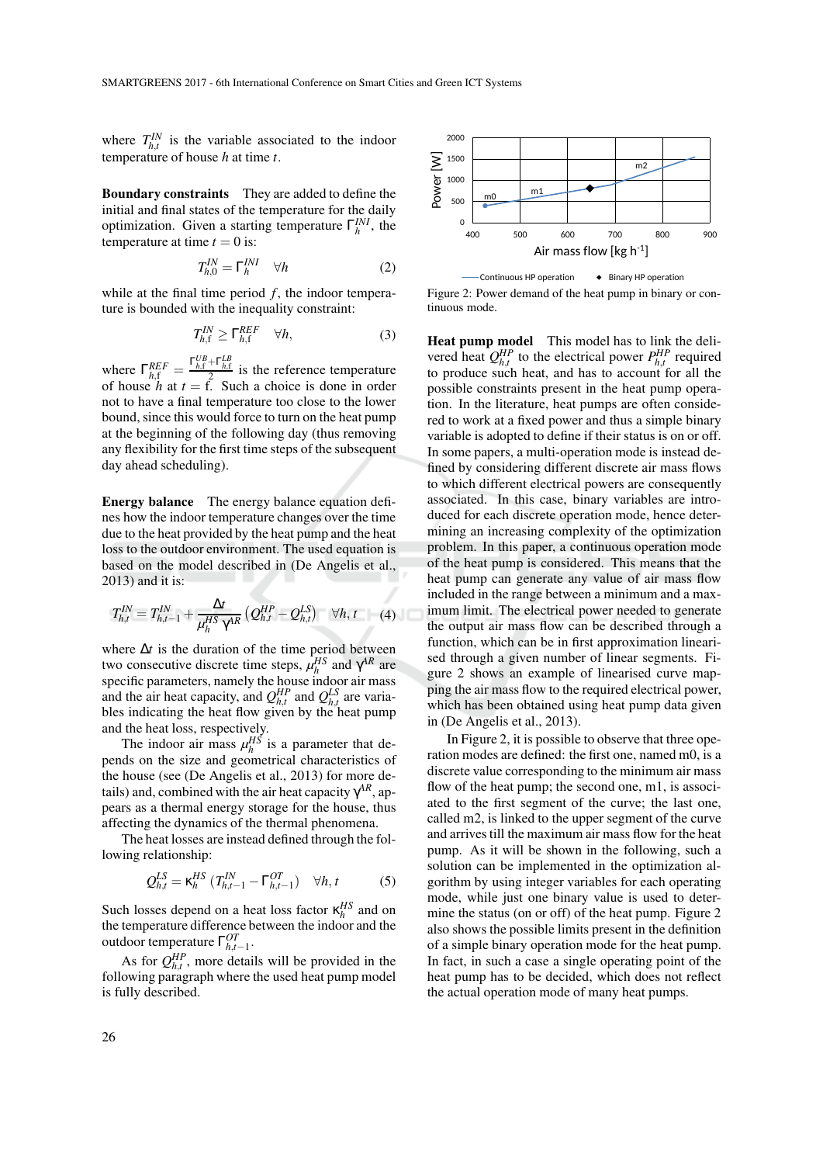where  $T_{h,t}^{IN}$  is the variable associated to the indoor temperature of house *h* at time *t*.

**Boundary constraints** They are added to define the initial and final states of the temperature for the daily optimization. Given a starting temperature  $\Gamma_h^{INI}$ , the temperature at time  $t = 0$  is:

$$
T_{h,0}^{IN} = \Gamma_h^{INI} \quad \forall h \tag{2}
$$

while at the final time period  $f$ , the indoor temperature is bounded with the inequality constraint:

$$
T_{h,\mathrm{f}}^{IN} \geq \Gamma_{h,\mathrm{f}}^{REF} \quad \forall h,\tag{3}
$$

where  $\Gamma_{h,\text{f}}^{REF} = \frac{\Gamma_{h,\text{f}}^{UB} + \Gamma_{h,\text{f}}^{LB}}{2}$  is the reference temperature of house  $h$  at  $t = f$ . Such a choice is done in order not to have a final temperature too close to the lower bound, since this would force to turn on the heat pump at the beginning of the following day (thus removing any flexibility for the first time steps of the subsequent day ahead scheduling).

**Energy balance** The energy balance equation defines how the indoor temperature changes over the time due to the heat provided by the heat pump and the heat loss to the outdoor environment. The used equation is based on the model described in (De Angelis et al., 2013) and it is:

$$
T_{h,t}^{IN} = T_{h,t-1}^{IN} + \frac{\Delta t}{\mu_h^{HS} \gamma^{AR}} \left( Q_{h,t}^{HP} - Q_{h,t}^{LS} \right) \quad \forall h,t \qquad (4)
$$

where ∆*t* is the duration of the time period between two consecutive discrete time steps,  $\mu_h^{HS}$  and  $\gamma^{AR}$  are specific parameters, namely the house indoor air mass and the air heat capacity, and  $Q_{h,t}^{HP}$  and  $Q_{h,t}^{LS}$  are variables indicating the heat flow given by the heat pump and the heat loss, respectively.

The indoor air mass  $\mu_h^{HS}$  is a parameter that depends on the size and geometrical characteristics of the house (see (De Angelis et al., 2013) for more details) and, combined with the air heat capacity  $\gamma^{AR}$ , appears as a thermal energy storage for the house, thus affecting the dynamics of the thermal phenomena.

The heat losses are instead defined through the following relationship:

$$
Q_{h,t}^{LS} = \kappa_h^{HS} \left( T_{h,t-1}^{IN} - \Gamma_{h,t-1}^{OT} \right) \quad \forall h, t \tag{5}
$$

Such losses depend on a heat loss factor  $\kappa_h^{HS}$  and on the temperature difference between the indoor and the outdoor temperature  $\Gamma_{h,t-1}^{OT}$ .

As for  $Q_{h,t}^{HP}$ , more details will be provided in the following paragraph where the used heat pump model is fully described.





**Heat pump model** This model has to link the delivered heat  $Q_{h,t}^{HP}$  to the electrical power  $P_{h,t}^{HP}$  required to produce such heat, and has to account for all the possible constraints present in the heat pump operation. In the literature, heat pumps are often considered to work at a fixed power and thus a simple binary variable is adopted to define if their status is on or off. In some papers, a multi-operation mode is instead defined by considering different discrete air mass flows to which different electrical powers are consequently associated. In this case, binary variables are introduced for each discrete operation mode, hence determining an increasing complexity of the optimization problem. In this paper, a continuous operation mode of the heat pump is considered. This means that the heat pump can generate any value of air mass flow included in the range between a minimum and a maximum limit. The electrical power needed to generate the output air mass flow can be described through a function, which can be in first approximation linearised through a given number of linear segments. Figure 2 shows an example of linearised curve mapping the air mass flow to the required electrical power, which has been obtained using heat pump data given in (De Angelis et al., 2013).

In Figure 2, it is possible to observe that three operation modes are defined: the first one, named m0, is a discrete value corresponding to the minimum air mass flow of the heat pump; the second one, m1, is associ-ated to the first segment of the curve; the last one, called m2, is linked to the upper segment of the curve and arrives till the maximum air mass flow for the heat pump. As it will be shown in the following, such a solution can be implemented in the optimization algorithm by using integer variables for each operating mode, while just one binary value is used to determine the status (on or off) of the heat pump. Figure 2 also shows the possible limits present in the definition of a simple binary operation mode for the heat pump. In fact, in such a case a single operating point of the heat pump has to be decided, which does not reflect the actual operation mode of many heat pumps.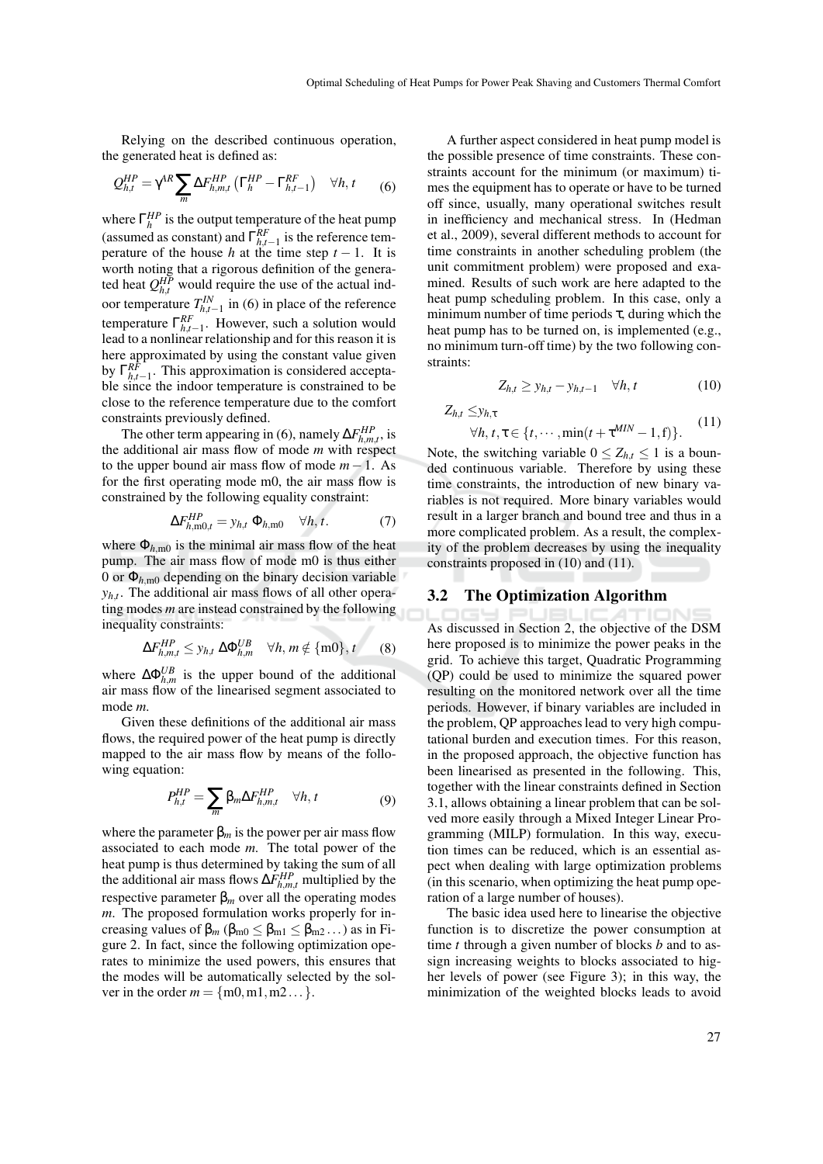Relying on the described continuous operation, the generated heat is defined as:

$$
Q_{h,t}^{HP} = \gamma^{AR} \sum_{m} \Delta F_{h,m,t}^{HP} \left( \Gamma_h^{HP} - \Gamma_{h,t-1}^{RF} \right) \quad \forall h, t \tag{6}
$$

where  $\Gamma_h^{HP}$  is the output temperature of the heat pump (assumed as constant) and  $\Gamma_{h,t-1}^{RF}$  is the reference temperature of the house *h* at the time step  $t - 1$ . It is worth noting that a rigorous definition of the generated heat  $Q_{h,t}^{HP}$  would require the use of the actual indoor temperature  $T_{h,t-1}^{IN}$  in (6) in place of the reference temperature  $\Gamma_{h,t-1}^{RF}$ . However, such a solution would lead to a nonlinear relationship and for this reason it is here approximated by using the constant value given by  $\Gamma_{h,t-1}^{RF}$ . This approximation is considered acceptable since the indoor temperature is constrained to be close to the reference temperature due to the comfort constraints previously defined.

The other term appearing in (6), namely  $\Delta F_{h,m,t}^{HP}$ , is the additional air mass flow of mode *m* with respect to the upper bound air mass flow of mode  $m - 1$ . As for the first operating mode m0, the air mass flow is constrained by the following equality constraint:

$$
\Delta F_{h,\text{m0},t}^{HP} = y_{h,t} \, \Phi_{h,\text{m0}} \quad \forall h,t. \tag{7}
$$

where  $\Phi_{h,m0}$  is the minimal air mass flow of the heat pump. The air mass flow of mode m0 is thus either 0 or  $\Phi_{h,\text{m0}}$  depending on the binary decision variable *yh*,*<sup>t</sup>* . The additional air mass flows of all other operating modes *m* are instead constrained by the following inequality constraints:

$$
\Delta F_{h,m,t}^{HP} \leq y_{h,t} \; \Delta \Phi_{h,m}^{UB} \quad \forall h,m \notin \{\text{m0}\}, t \qquad (8)
$$

where  $\Delta \Phi_{h,m}^{UB}$  is the upper bound of the additional air mass flow of the linearised segment associated to mode *m*.

Given these definitions of the additional air mass flows, the required power of the heat pump is directly mapped to the air mass flow by means of the following equation:

$$
P_{h,t}^{HP} = \sum_{m} \beta_m \Delta F_{h,m,t}^{HP} \quad \forall h, t \tag{9}
$$

where the parameter  $\beta_m$  is the power per air mass flow associated to each mode *m*. The total power of the heat pump is thus determined by taking the sum of all the additional air mass flows  $\Delta F_{h,m,t}^{HP}$  multiplied by the respective parameter  $β<sub>m</sub>$  over all the operating modes *m*. The proposed formulation works properly for increasing values of  $\beta_m$  ( $\beta_{m0} \leq \beta_{m1} \leq \beta_{m2} \dots$ ) as in Figure 2. In fact, since the following optimization operates to minimize the used powers, this ensures that the modes will be automatically selected by the solver in the order  $m = \{m0, m1, m2 \dots\}$ .

A further aspect considered in heat pump model is the possible presence of time constraints. These constraints account for the minimum (or maximum) times the equipment has to operate or have to be turned off since, usually, many operational switches result in inefficiency and mechanical stress. In (Hedman et al., 2009), several different methods to account for time constraints in another scheduling problem (the unit commitment problem) were proposed and examined. Results of such work are here adapted to the heat pump scheduling problem. In this case, only a minimum number of time periods  $\tau$ , during which the heat pump has to be turned on, is implemented (e.g., no minimum turn-off time) by the two following constraints:

$$
Z_{h,t} \geq y_{h,t} - y_{h,t-1} \quad \forall h, t \tag{10}
$$

*Zh*,*<sup>t</sup>* ≤*yh*,<sup>τ</sup>

$$
\forall h, t, \tau \in \{t, \cdots, \min(t + \tau^{MIN} - 1, f)\}. \tag{11}
$$

Note, the switching variable  $0 \le Z_{h,t} \le 1$  is a bounded continuous variable. Therefore by using these time constraints, the introduction of new binary variables is not required. More binary variables would result in a larger branch and bound tree and thus in a more complicated problem. As a result, the complexity of the problem decreases by using the inequality constraints proposed in (10) and (11).

#### **3.2 The Optimization Algorithm**

As discussed in Section 2, the objective of the DSM here proposed is to minimize the power peaks in the grid. To achieve this target, Quadratic Programming (QP) could be used to minimize the squared power resulting on the monitored network over all the time periods. However, if binary variables are included in the problem, QP approaches lead to very high computational burden and execution times. For this reason, in the proposed approach, the objective function has been linearised as presented in the following. This, together with the linear constraints defined in Section 3.1, allows obtaining a linear problem that can be solved more easily through a Mixed Integer Linear Programming (MILP) formulation. In this way, execution times can be reduced, which is an essential aspect when dealing with large optimization problems (in this scenario, when optimizing the heat pump operation of a large number of houses).

The basic idea used here to linearise the objective function is to discretize the power consumption at time *t* through a given number of blocks *b* and to assign increasing weights to blocks associated to higher levels of power (see Figure 3); in this way, the minimization of the weighted blocks leads to avoid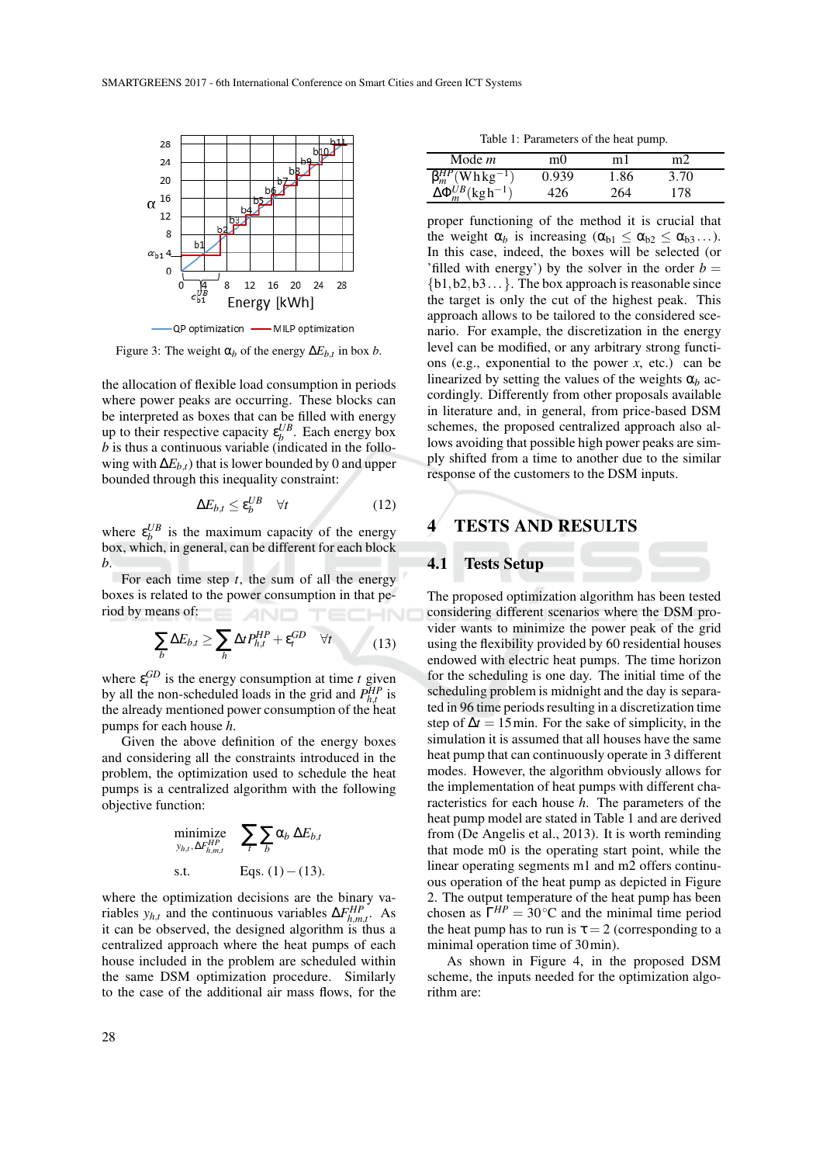

Figure 3: The weight  $\alpha_b$  of the energy  $\Delta E_{b,t}$  in box *b*.

the allocation of flexible load consumption in periods where power peaks are occurring. These blocks can be interpreted as boxes that can be filled with energy up to their respective capacity  $\varepsilon_b^{UB}$ . Each energy box *b* is thus a continuous variable (indicated in the following with  $\Delta E_{b,t}$ ) that is lower bounded by 0 and upper bounded through this inequality constraint:

$$
\Delta E_{b,t} \le \varepsilon_b^{UB} \quad \forall t \tag{12}
$$

where  $\varepsilon_b^{UB}$  is the maximum capacity of the energy box, which, in general, can be different for each block *b*.

For each time step *t*, the sum of all the energy boxes is related to the power consumption in that period by means of:

$$
\sum_{b} \Delta E_{b,t} \ge \sum_{h} \Delta t P_{h,t}^{HP} + \varepsilon_t^{GD} \quad \forall t \tag{13}
$$

where  $\varepsilon_t^{GD}$  is the energy consumption at time *t* given by all the non-scheduled loads in the grid and  $P_{h,t}^{HP}$  is the already mentioned power consumption of the heat pumps for each house *h*.

Given the above definition of the energy boxes and considering all the constraints introduced in the problem, the optimization used to schedule the heat pumps is a centralized algorithm with the following objective function:

minimize 
$$
\sum_{y_{h,t}, \Delta F_{h,m,t}^{HP}}
$$
  $\sum_{t} \sum_{b} \alpha_b \Delta E_{b,t}$   
s.t. Eqs. (1) – (13).

where the optimization decisions are the binary variables  $y_{h,t}$  and the continuous variables  $\Delta F_{h,m,t}^{HP}$ . As it can be observed, the designed algorithm is thus a centralized approach where the heat pumps of each house included in the problem are scheduled within the same DSM optimization procedure. Similarly to the case of the additional air mass flows, for the

Table 1: Parameters of the heat pump.

| Mode m                                    | m()   | m 1  | m2   |  |
|-------------------------------------------|-------|------|------|--|
| $\beta_m^{HP}$ (Whkg <sup>-1</sup> )      | 0.939 | 1.86 | 3.70 |  |
| $\Delta \Phi_m^{UB}$ (kgh <sup>-1</sup> ) | 126   | 264  | 178  |  |

proper functioning of the method it is crucial that the weight  $\alpha_b$  is increasing  $(\alpha_{b1} \leq \alpha_{b2} \leq \alpha_{b3} ...)$ . In this case, indeed, the boxes will be selected (or 'filled with energy') by the solver in the order  $b =$  ${b1,b2,b3...}$ . The box approach is reasonable since the target is only the cut of the highest peak. This approach allows to be tailored to the considered scenario. For example, the discretization in the energy level can be modified, or any arbitrary strong functions (e.g., exponential to the power *x*, etc.) can be linearized by setting the values of the weights  $\alpha_b$  accordingly. Differently from other proposals available in literature and, in general, from price-based DSM schemes, the proposed centralized approach also allows avoiding that possible high power peaks are simply shifted from a time to another due to the similar response of the customers to the DSM inputs.

## **4 TESTS AND RESULTS**

### **4.1 Tests Setup**

The proposed optimization algorithm has been tested considering different scenarios where the DSM provider wants to minimize the power peak of the grid using the flexibility provided by 60 residential houses endowed with electric heat pumps. The time horizon for the scheduling is one day. The initial time of the scheduling problem is midnight and the day is separated in 96 time periods resulting in a discretization time step of  $\Delta t = 15$  min. For the sake of simplicity, in the simulation it is assumed that all houses have the same heat pump that can continuously operate in 3 different modes. However, the algorithm obviously allows for the implementation of heat pumps with different characteristics for each house *h*. The parameters of the heat pump model are stated in Table 1 and are derived from (De Angelis et al., 2013). It is worth reminding that mode m0 is the operating start point, while the linear operating segments m1 and m2 offers continuous operation of the heat pump as depicted in Figure 2. The output temperature of the heat pump has been chosen as  $\Gamma^{HP} = 30^{\circ}\text{C}$  and the minimal time period the heat pump has to run is  $\tau = 2$  (corresponding to a minimal operation time of 30min).

As shown in Figure 4, in the proposed DSM scheme, the inputs needed for the optimization algorithm are: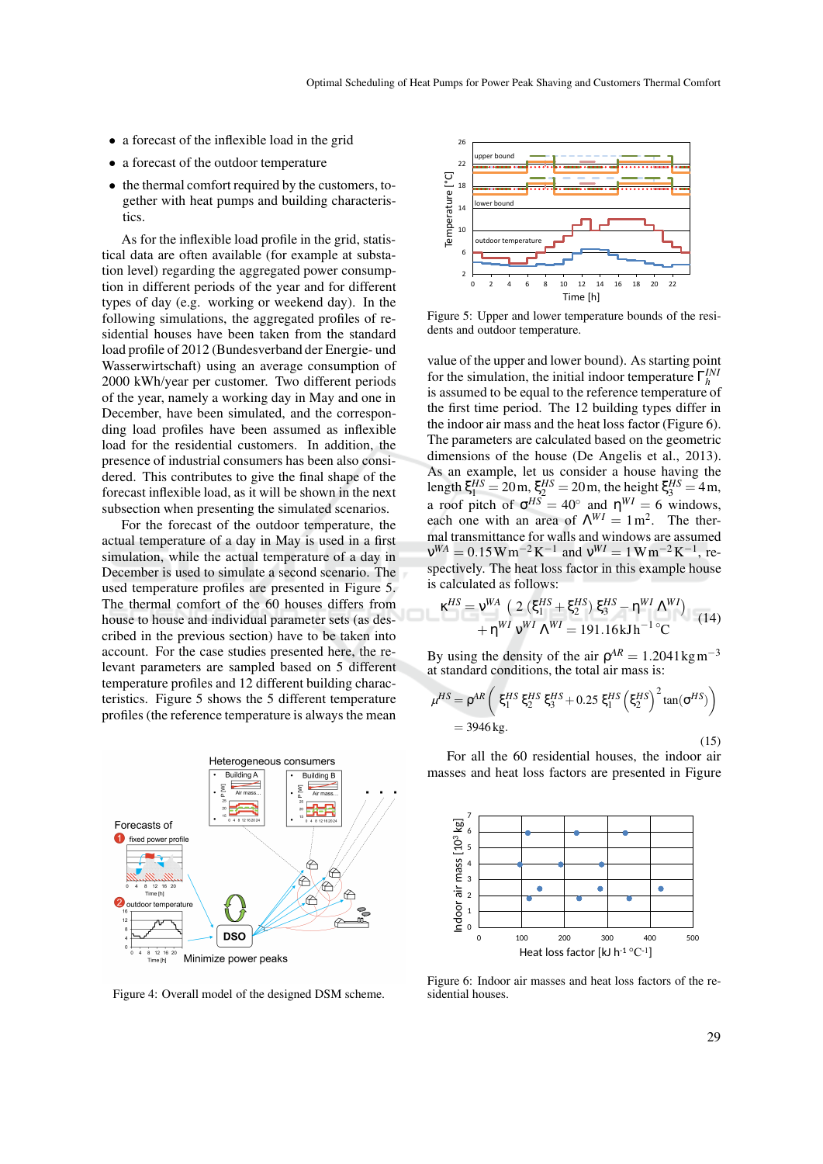- a forecast of the inflexible load in the grid
- a forecast of the outdoor temperature
- the thermal comfort required by the customers, together with heat pumps and building characteristics.

As for the inflexible load profile in the grid, statistical data are often available (for example at substation level) regarding the aggregated power consumption in different periods of the year and for different types of day (e.g. working or weekend day). In the following simulations, the aggregated profiles of residential houses have been taken from the standard load profile of 2012 (Bundesverband der Energie- und Wasserwirtschaft) using an average consumption of 2000 kWh/year per customer. Two different periods of the year, namely a working day in May and one in December, have been simulated, and the corresponding load profiles have been assumed as inflexible load for the residential customers. In addition, the presence of industrial consumers has been also considered. This contributes to give the final shape of the forecast inflexible load, as it will be shown in the next subsection when presenting the simulated scenarios.

For the forecast of the outdoor temperature, the actual temperature of a day in May is used in a first simulation, while the actual temperature of a day in December is used to simulate a second scenario. The used temperature profiles are presented in Figure 5. The thermal comfort of the 60 houses differs from house to house and individual parameter sets (as described in the previous section) have to be taken into account. For the case studies presented here, the relevant parameters are sampled based on 5 different temperature profiles and 12 different building characteristics. Figure 5 shows the 5 different temperature profiles (the reference temperature is always the mean



Figure 4: Overall model of the designed DSM scheme.



Figure 5: Upper and lower temperature bounds of the residents and outdoor temperature.

value of the upper and lower bound). As starting point for the simulation, the initial indoor temperature  $\Gamma_h^{INi}$ is assumed to be equal to the reference temperature of the first time period. The 12 building types differ in the indoor air mass and the heat loss factor (Figure 6). The parameters are calculated based on the geometric dimensions of the house (De Angelis et al., 2013). As an example, let us consider a house having the length  $\xi_1^{HS} = 20 \text{ m}, \xi_2^{HS} = 20 \text{ m}$ , the height  $\xi_3^{HS} = 4 \text{ m}$ , a roof pitch of  $\sigma^{HS} = 40^\circ$  and  $\eta^{WI} = 6$  windows, each one with an area of  $\Lambda^{WI} = 1 \text{ m}^2$ . The thermal transmittance for walls and windows are assumed  $v^{WA} = 0.15 W m^{-2} K^{-1}$  and  $v^{WI} = 1 W m^{-2} K^{-1}$ , respectively. The heat loss factor in this example house is calculated as follows:

$$
\kappa^{HS} = \nu^{WA} \left( 2 \left( \xi_1^{HS} + \xi_2^{HS} \right) \xi_3^{HS} - \eta^{WI} \Lambda^{WI} \right) + \eta^{WI} \nu^{WI} \Lambda^{WI} = 191.16 \text{kJ} \text{h}^{-1} {}^{\circ}\text{C}
$$
 (14)

By using the density of the air  $\rho^{AR} = 1.2041 \text{kg m}^{-3}$ at standard conditions, the total air mass is:

$$
\mu^{HS} = \rho^{AR} \left( \xi_1^{HS} \xi_2^{HS} \xi_3^{HS} + 0.25 \xi_1^{HS} \left( \xi_2^{HS} \right)^2 \tan(\sigma^{HS}) \right)
$$
  
= 3946 kg. (15)

For all the 60 residential houses, the indoor air masses and heat loss factors are presented in Figure



Figure 6: Indoor air masses and heat loss factors of the residential houses.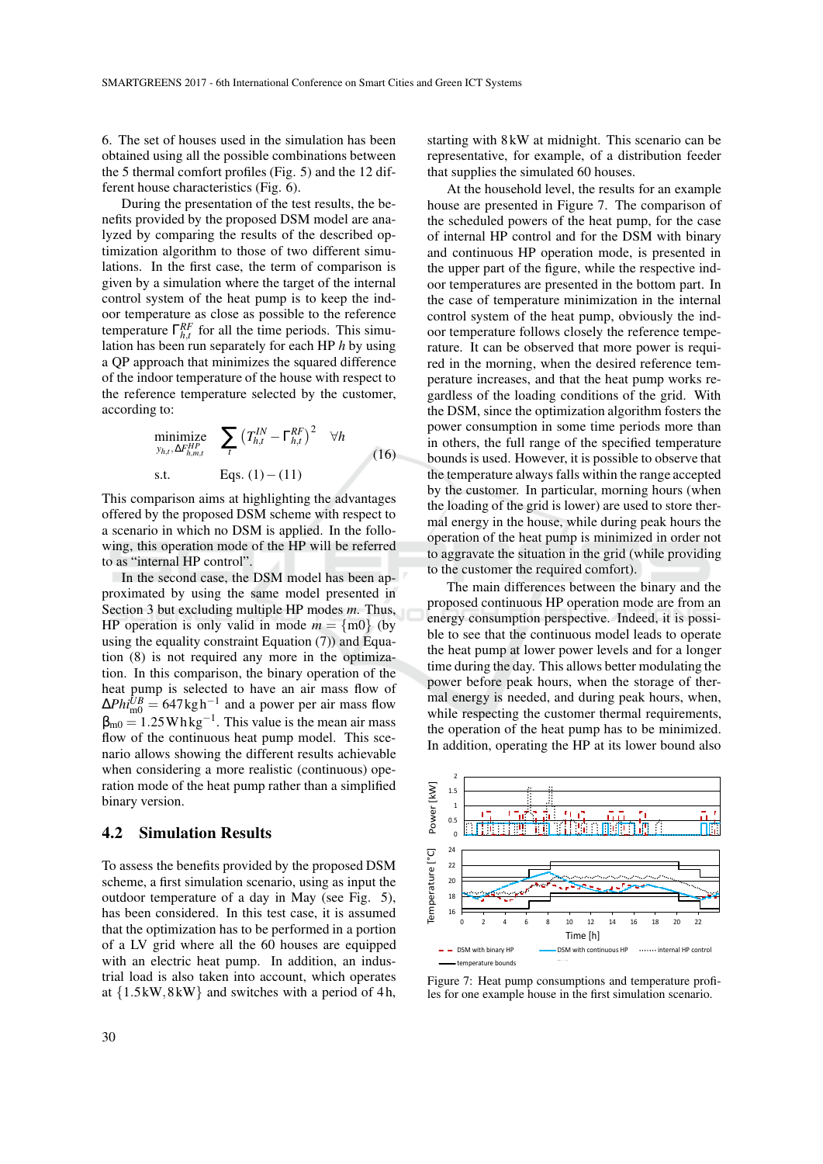6. The set of houses used in the simulation has been obtained using all the possible combinations between the 5 thermal comfort profiles (Fig. 5) and the 12 different house characteristics (Fig. 6).

During the presentation of the test results, the benefits provided by the proposed DSM model are analyzed by comparing the results of the described optimization algorithm to those of two different simulations. In the first case, the term of comparison is given by a simulation where the target of the internal control system of the heat pump is to keep the indoor temperature as close as possible to the reference temperature  $\Gamma_{h,t}^{RF}$  for all the time periods. This simulation has been run separately for each HP *h* by using a QP approach that minimizes the squared difference of the indoor temperature of the house with respect to the reference temperature selected by the customer, according to:

$$
\begin{array}{ll}\n\text{minimize} & \sum_{t} \left( T_{h,t}^{IN} - \Gamma_{h,t}^{RF} \right)^2 & \forall h \\
\text{s.t.} & \text{Eqs. (1)} - (11)\n\end{array} \tag{16}
$$

This comparison aims at highlighting the advantages offered by the proposed DSM scheme with respect to a scenario in which no DSM is applied. In the following, this operation mode of the HP will be referred to as "internal HP control".

In the second case, the DSM model has been approximated by using the same model presented in Section 3 but excluding multiple HP modes *m*. Thus, HP operation is only valid in mode  $m = \{ \text{m0} \}$  (by using the equality constraint Equation (7)) and Equation (8) is not required any more in the optimization. In this comparison, the binary operation of the heat pump is selected to have an air mass flow of  $\Delta P h i_{\text{m0}}^{UB} = 647 \text{kg h}^{-1}$  and a power per air mass flow  $\beta_{\text{m0}} = 1.25 \text{Whkg}^{-1}$ . This value is the mean air mass flow of the continuous heat pump model. This scenario allows showing the different results achievable when considering a more realistic (continuous) operation mode of the heat pump rather than a simplified binary version.

#### **4.2 Simulation Results**

To assess the benefits provided by the proposed DSM scheme, a first simulation scenario, using as input the outdoor temperature of a day in May (see Fig. 5), has been considered. In this test case, it is assumed that the optimization has to be performed in a portion of a LV grid where all the 60 houses are equipped with an electric heat pump. In addition, an industrial load is also taken into account, which operates at  $\{1.5 \text{kW}, 8 \text{kW}\}\$  and switches with a period of 4h,

starting with 8 kW at midnight. This scenario can be representative, for example, of a distribution feeder that supplies the simulated 60 houses.

At the household level, the results for an example house are presented in Figure 7. The comparison of the scheduled powers of the heat pump, for the case of internal HP control and for the DSM with binary and continuous HP operation mode, is presented in the upper part of the figure, while the respective indoor temperatures are presented in the bottom part. In the case of temperature minimization in the internal control system of the heat pump, obviously the indoor temperature follows closely the reference temperature. It can be observed that more power is required in the morning, when the desired reference temperature increases, and that the heat pump works regardless of the loading conditions of the grid. With the DSM, since the optimization algorithm fosters the power consumption in some time periods more than in others, the full range of the specified temperature bounds is used. However, it is possible to observe that the temperature always falls within the range accepted by the customer. In particular, morning hours (when the loading of the grid is lower) are used to store thermal energy in the house, while during peak hours the operation of the heat pump is minimized in order not to aggravate the situation in the grid (while providing to the customer the required comfort).

The main differences between the binary and the proposed continuous HP operation mode are from an energy consumption perspective. Indeed, it is possible to see that the continuous model leads to operate the heat pump at lower power levels and for a longer time during the day. This allows better modulating the power before peak hours, when the storage of thermal energy is needed, and during peak hours, when, while respecting the customer thermal requirements, the operation of the heat pump has to be minimized. In addition, operating the HP at its lower bound also



Figure 7: Heat pump consumptions and temperature profiles for one example house in the first simulation scenario.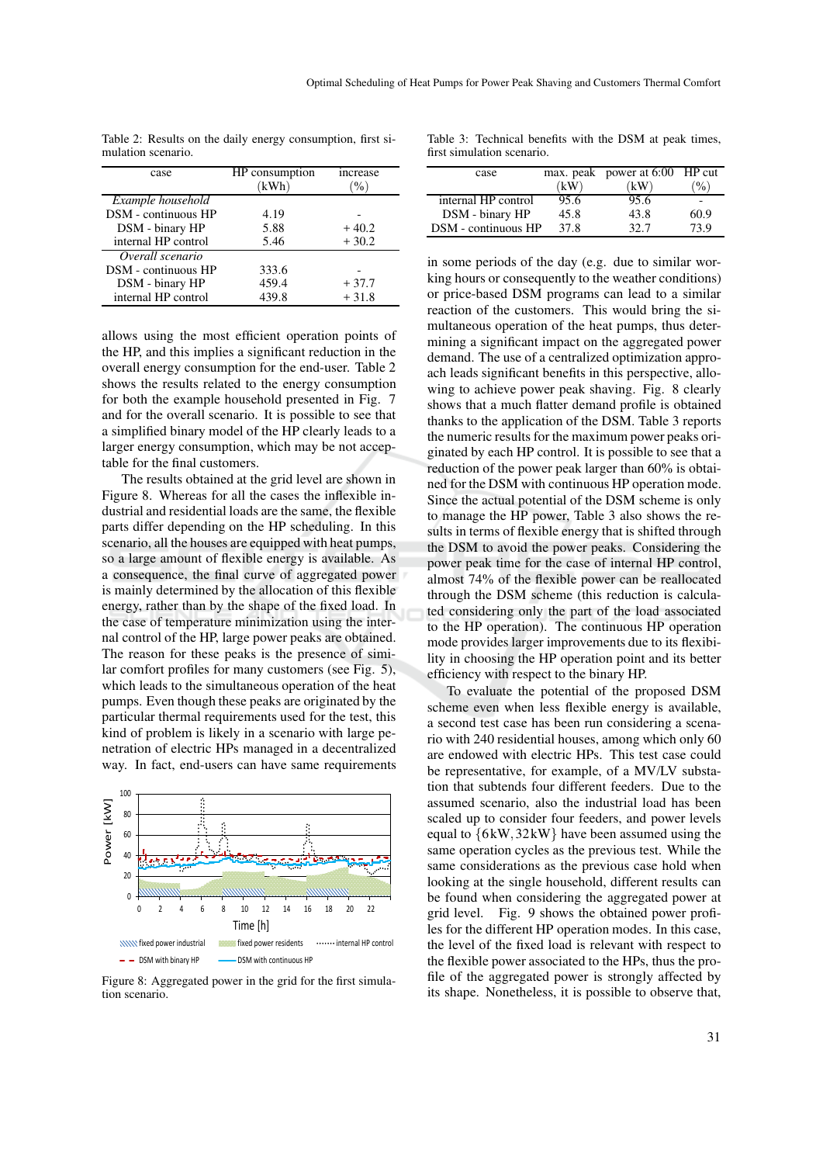| case                | HP consumption<br>(kWh) | increase<br>$\%$ |
|---------------------|-------------------------|------------------|
| Example household   |                         |                  |
| DSM - continuous HP | 4.19                    |                  |
| DSM - binary HP     | 5.88                    | $+40.2$          |
| internal HP control | 5.46                    | $+30.2$          |
| Overall scenario    |                         |                  |
| DSM - continuous HP | 333.6                   |                  |
| DSM - binary HP     | 459.4                   | $+37.7$          |
| internal HP control | 439.8                   | $+31.8$          |

Table 2: Results on the daily energy consumption, first simulation scenario.

allows using the most efficient operation points of the HP, and this implies a significant reduction in the overall energy consumption for the end-user. Table 2 shows the results related to the energy consumption for both the example household presented in Fig. 7 and for the overall scenario. It is possible to see that a simplified binary model of the HP clearly leads to a larger energy consumption, which may be not acceptable for the final customers.

The results obtained at the grid level are shown in Figure 8. Whereas for all the cases the inflexible industrial and residential loads are the same, the flexible parts differ depending on the HP scheduling. In this scenario, all the houses are equipped with heat pumps, so a large amount of flexible energy is available. As a consequence, the final curve of aggregated power is mainly determined by the allocation of this flexible energy, rather than by the shape of the fixed load. In the case of temperature minimization using the internal control of the HP, large power peaks are obtained. The reason for these peaks is the presence of similar comfort profiles for many customers (see Fig. 5), which leads to the simultaneous operation of the heat pumps. Even though these peaks are originated by the particular thermal requirements used for the test, this kind of problem is likely in a scenario with large penetration of electric HPs managed in a decentralized way. In fact, end-users can have same requirements



Figure 8: Aggregated power in the grid for the first simulation scenario.

Table 3: Technical benefits with the DSM at peak times, first simulation scenario.

| case                |      | max. peak power at 6:00 HP cut |                         |
|---------------------|------|--------------------------------|-------------------------|
|                     | kW   | $k$ W)                         | $^{(0)}$ <sub>0</sub> ) |
| internal HP control | 95.6 | 95.6                           |                         |
| DSM - binary HP     | 45.8 | 43.8                           | 60.9                    |
| DSM - continuous HP | 37.8 | 32.7                           | 73 Q                    |

in some periods of the day (e.g. due to similar working hours or consequently to the weather conditions) or price-based DSM programs can lead to a similar reaction of the customers. This would bring the simultaneous operation of the heat pumps, thus determining a significant impact on the aggregated power demand. The use of a centralized optimization approach leads significant benefits in this perspective, allowing to achieve power peak shaving. Fig. 8 clearly shows that a much flatter demand profile is obtained thanks to the application of the DSM. Table 3 reports the numeric results for the maximum power peaks originated by each HP control. It is possible to see that a reduction of the power peak larger than 60% is obtained for the DSM with continuous HP operation mode. Since the actual potential of the DSM scheme is only to manage the HP power, Table 3 also shows the results in terms of flexible energy that is shifted through the DSM to avoid the power peaks. Considering the power peak time for the case of internal HP control, almost 74% of the flexible power can be reallocated through the DSM scheme (this reduction is calculated considering only the part of the load associated to the HP operation). The continuous HP operation mode provides larger improvements due to its flexibility in choosing the HP operation point and its better efficiency with respect to the binary HP.

To evaluate the potential of the proposed DSM scheme even when less flexible energy is available, a second test case has been run considering a scenario with 240 residential houses, among which only 60 are endowed with electric HPs. This test case could be representative, for example, of a MV/LV substation that subtends four different feeders. Due to the assumed scenario, also the industrial load has been scaled up to consider four feeders, and power levels equal to  ${6kW, 32kW}$  have been assumed using the same operation cycles as the previous test. While the same considerations as the previous case hold when looking at the single household, different results can be found when considering the aggregated power at grid level. Fig. 9 shows the obtained power profiles for the different HP operation modes. In this case, the level of the fixed load is relevant with respect to the flexible power associated to the HPs, thus the profile of the aggregated power is strongly affected by its shape. Nonetheless, it is possible to observe that,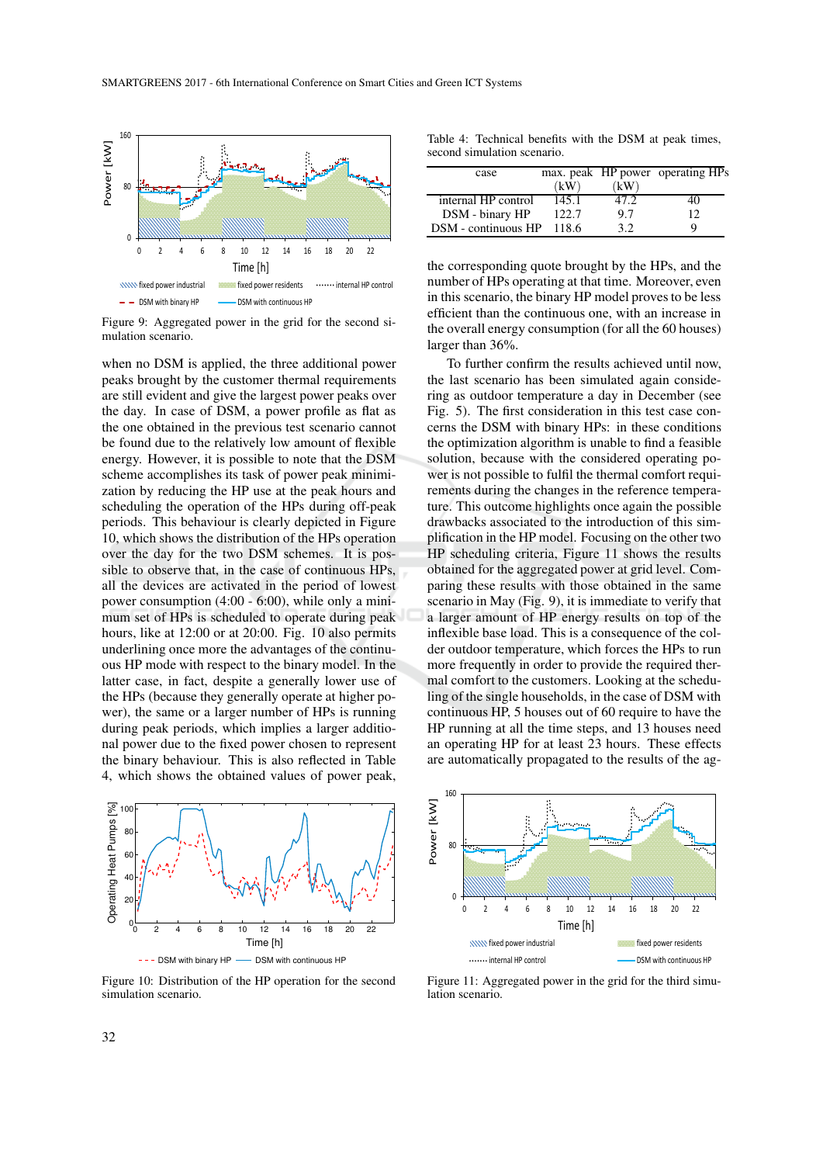

Figure 9: Aggregated power in the grid for the second simulation scenario.

when no DSM is applied, the three additional power peaks brought by the customer thermal requirements are still evident and give the largest power peaks over the day. In case of DSM, a power profile as flat as the one obtained in the previous test scenario cannot be found due to the relatively low amount of flexible energy. However, it is possible to note that the DSM scheme accomplishes its task of power peak minimization by reducing the HP use at the peak hours and scheduling the operation of the HPs during off-peak periods. This behaviour is clearly depicted in Figure 10, which shows the distribution of the HPs operation over the day for the two DSM schemes. It is possible to observe that, in the case of continuous HPs, all the devices are activated in the period of lowest power consumption (4:00 - 6:00), while only a minimum set of HPs is scheduled to operate during peak hours, like at 12:00 or at 20:00. Fig. 10 also permits underlining once more the advantages of the continuous HP mode with respect to the binary model. In the latter case, in fact, despite a generally lower use of the HPs (because they generally operate at higher power), the same or a larger number of HPs is running during peak periods, which implies a larger additional power due to the fixed power chosen to represent the binary behaviour. This is also reflected in Table 4, which shows the obtained values of power peak,



Figure 10: Distribution of the HP operation for the second simulation scenario.

Table 4: Technical benefits with the DSM at peak times, second simulation scenario.

| case                | (kW)   | kW   | max. peak HP power operating HPs |
|---------------------|--------|------|----------------------------------|
| internal HP control | 145.1  | 47.2 | 40                               |
| DSM - binary HP     | 122.7  | 9.7  | 12                               |
| DSM - continuous HP | -118.6 | 32   |                                  |

the corresponding quote brought by the HPs, and the number of HPs operating at that time. Moreover, even in this scenario, the binary HP model proves to be less efficient than the continuous one, with an increase in the overall energy consumption (for all the 60 houses) larger than 36%.

To further confirm the results achieved until now, the last scenario has been simulated again considering as outdoor temperature a day in December (see Fig. 5). The first consideration in this test case concerns the DSM with binary HPs: in these conditions the optimization algorithm is unable to find a feasible solution, because with the considered operating power is not possible to fulfil the thermal comfort requirements during the changes in the reference temperature. This outcome highlights once again the possible drawbacks associated to the introduction of this simplification in the HP model. Focusing on the other two HP scheduling criteria, Figure 11 shows the results obtained for the aggregated power at grid level. Comparing these results with those obtained in the same scenario in May (Fig. 9), it is immediate to verify that a larger amount of HP energy results on top of the inflexible base load. This is a consequence of the colder outdoor temperature, which forces the HPs to run more frequently in order to provide the required thermal comfort to the customers. Looking at the scheduling of the single households, in the case of DSM with continuous HP, 5 houses out of 60 require to have the HP running at all the time steps, and 13 houses need an operating HP for at least 23 hours. These effects are automatically propagated to the results of the ag-



Figure 11: Aggregated power in the grid for the third simulation scenario.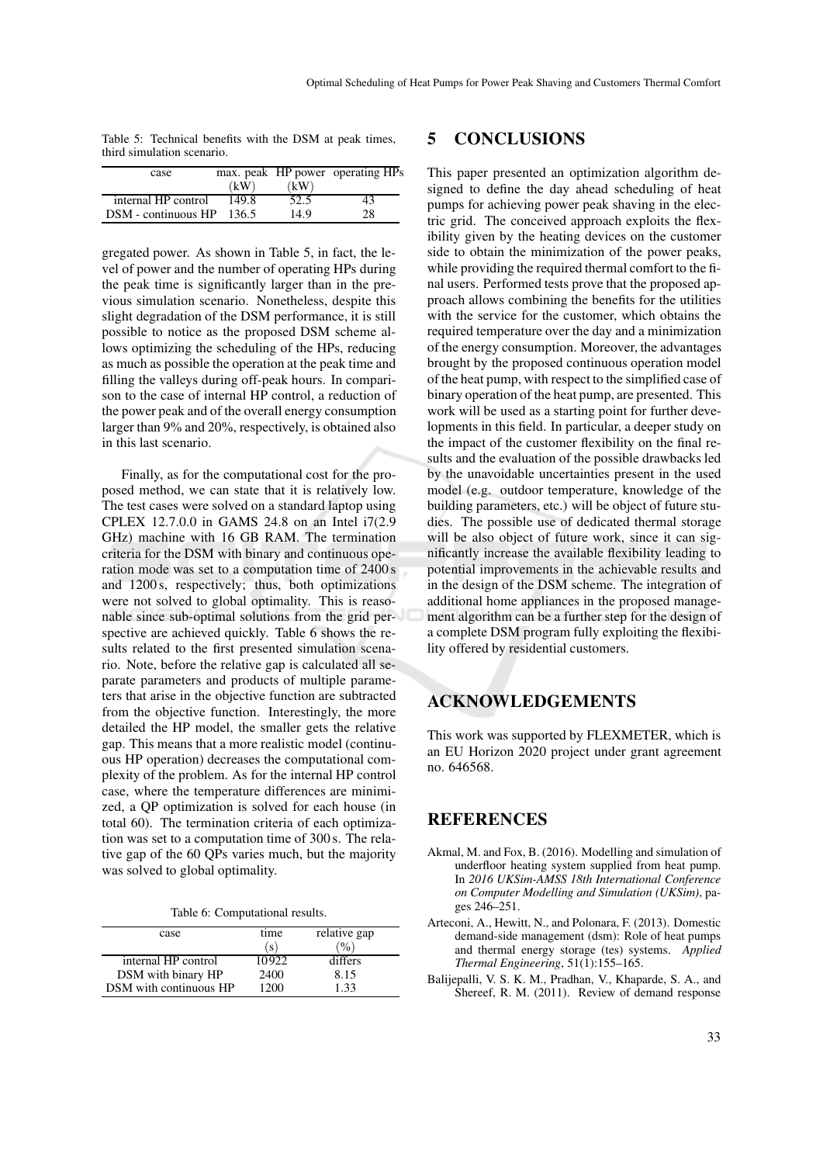| Table 5: Technical benefits with the DSM at peak times, |  |  |  |  |
|---------------------------------------------------------|--|--|--|--|
| third simulation scenario.                              |  |  |  |  |

| case                |       |      | max. peak HP power operating HPs |
|---------------------|-------|------|----------------------------------|
|                     | (kW)  | (kW) |                                  |
| internal HP control | 149.8 | 52.5 | 43                               |
| DSM - continuous HP | 136.5 | 14.9 | 28                               |

gregated power. As shown in Table 5, in fact, the level of power and the number of operating HPs during the peak time is significantly larger than in the previous simulation scenario. Nonetheless, despite this slight degradation of the DSM performance, it is still possible to notice as the proposed DSM scheme allows optimizing the scheduling of the HPs, reducing as much as possible the operation at the peak time and filling the valleys during off-peak hours. In comparison to the case of internal HP control, a reduction of the power peak and of the overall energy consumption larger than 9% and 20%, respectively, is obtained also in this last scenario.

Finally, as for the computational cost for the proposed method, we can state that it is relatively low. The test cases were solved on a standard laptop using CPLEX 12.7.0.0 in GAMS 24.8 on an Intel i7(2.9 GHz) machine with 16 GB RAM. The termination criteria for the DSM with binary and continuous operation mode was set to a computation time of 2400 s and 1200 s, respectively; thus, both optimizations were not solved to global optimality. This is reasonable since sub-optimal solutions from the grid perspective are achieved quickly. Table 6 shows the results related to the first presented simulation scenario. Note, before the relative gap is calculated all separate parameters and products of multiple parameters that arise in the objective function are subtracted from the objective function. Interestingly, the more detailed the HP model, the smaller gets the relative gap. This means that a more realistic model (continuous HP operation) decreases the computational complexity of the problem. As for the internal HP control case, where the temperature differences are minimized, a QP optimization is solved for each house (in total 60). The termination criteria of each optimization was set to a computation time of 300 s. The relative gap of the 60 QPs varies much, but the majority was solved to global optimality.

Table 6: Computational results.

| case                   | time              | relative gap          |
|------------------------|-------------------|-----------------------|
|                        | $\left( S\right)$ | $^{(0)}$ <sub>0</sub> |
| internal HP control    | 10922             | differs               |
| DSM with binary HP     | 2400              | 8.15                  |
| DSM with continuous HP | 1200              | 1.33                  |

#### **5 CONCLUSIONS**

This paper presented an optimization algorithm designed to define the day ahead scheduling of heat pumps for achieving power peak shaving in the electric grid. The conceived approach exploits the flexibility given by the heating devices on the customer side to obtain the minimization of the power peaks, while providing the required thermal comfort to the final users. Performed tests prove that the proposed approach allows combining the benefits for the utilities with the service for the customer, which obtains the required temperature over the day and a minimization of the energy consumption. Moreover, the advantages brought by the proposed continuous operation model of the heat pump, with respect to the simplified case of binary operation of the heat pump, are presented. This work will be used as a starting point for further developments in this field. In particular, a deeper study on the impact of the customer flexibility on the final results and the evaluation of the possible drawbacks led by the unavoidable uncertainties present in the used model (e.g. outdoor temperature, knowledge of the building parameters, etc.) will be object of future studies. The possible use of dedicated thermal storage will be also object of future work, since it can significantly increase the available flexibility leading to potential improvements in the achievable results and in the design of the DSM scheme. The integration of additional home appliances in the proposed management algorithm can be a further step for the design of a complete DSM program fully exploiting the flexibility offered by residential customers.

### **ACKNOWLEDGEMENTS**

This work was supported by FLEXMETER, which is an EU Horizon 2020 project under grant agreement no. 646568.

### **REFERENCES**

- Akmal, M. and Fox, B. (2016). Modelling and simulation of underfloor heating system supplied from heat pump. In *2016 UKSim-AMSS 18th International Conference on Computer Modelling and Simulation (UKSim)*, pages 246–251.
- Arteconi, A., Hewitt, N., and Polonara, F. (2013). Domestic demand-side management (dsm): Role of heat pumps and thermal energy storage (tes) systems. *Applied Thermal Engineering*, 51(1):155–165.
- Balijepalli, V. S. K. M., Pradhan, V., Khaparde, S. A., and Shereef, R. M. (2011). Review of demand response